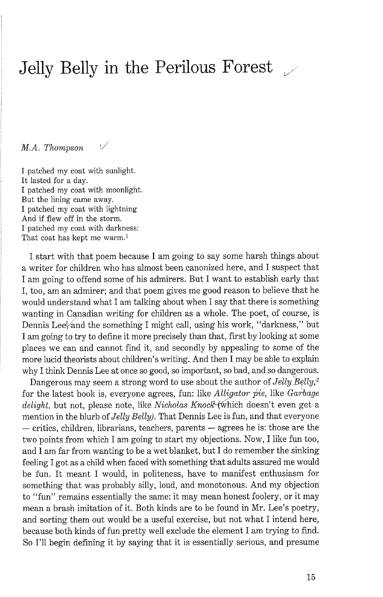## Jelly Belly in the Perilous Forest  $\mathcal{L}$

M.A. Thompson

I patched my coat with sunlight. It lasted for a day. I patched my coat with moonlight. But the lining came away. I patched my coat with lightning And if flew off in the storm. I patched my coat with darkness: That coat has kept me warm.1

I start with that poem because I am going to say some harsh things about a writer for children who has almost been canonized here, and I suspect that I am going to offend some of his admirers. But I want to establish early that I, too, am an admirer; and that poem gives me good reason to believe that he would understand what I am talking about when I say that there is something wanting in Canadian writing for children as a whole. The poet, of course, is Dennis Lee $\frac{1}{2}$  and the something I might call, using his work, "darkness," but I am going to try to define it more precisely than that, first by looking at some places we can and cannot find it, and secondly by appealing to some of the more lucid theorists about children's writing. And then I may be able to explain why I think Dennis Lee at once so good, so important, so bad, and so dangerous.

Dangerous may seem a strong word to use about the author of Jelly  $Belly<sup>2</sup>$ for the latest book is, everyone agrees, fun: like Alligator **pie,** like Garbage delight, but not, please note, like Nicholas Knock-(which doesn't even get a mention in the blurb of Jelly Belly). That Dennis Lee is fun, and that everyone<br>— critics, children, librarians, teachers, parents — agrees he is: those are the two points from which I am going to start my objections. Now, I like fun too, and I am far from wanting to be a wet blanket, but I do remember the sinking feeling I got as a child when faced with something that adults assured me would be fun. It meant I would, in politeness, have to manifest enthusiasm for something that was probably silly, loud, and monotonous. And my objection to "fun" remains essentially the same: it may mean honest foolery, or it may mean a brash imitation of it. Both kinds are to be found in Mr. Lee's poetry, and sorting them out would be a useful exercise, but not what I intend here, because both kinds of fun pretty well exclude the element I am trying to find. So I'll begin defining it by saying that it is essentially serious, and presume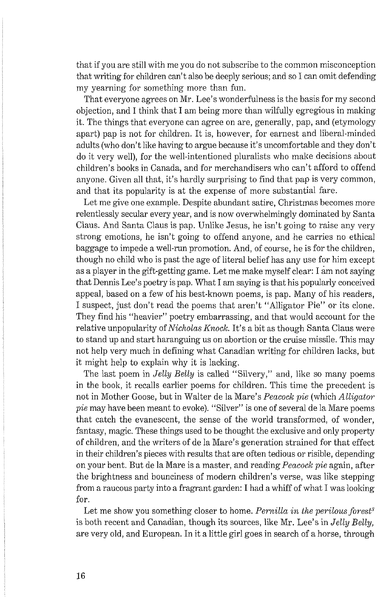that if you are still with me you do not subscribe to the common misconception that writing for children can't also be deeply serious; and so I can omit defending my vearning for something more than fun.

That everyone agrees on Mr. Lee's wonderfulness is the basis for my second objection, and I think that I am being more than wilfully egregious in making it. The things that everyone can agree on are, generally, pap, and (etymology apart) pap is not for children. It is, however, for earnest and liberal-minded adults (who don't like having to argue because it's uncomfortable and they don't do it very well), for the well-intentioned pluralists who make decisions about children's books in Canada, and for merchandisers who can't afford to offend anyone. Given all that, it's hardly surprising to find that pap is very common, and that its popularity is at the expense of more substantial fare.

Let me give one example. Despite abundant satire, Christmas becomes more relentlessly secular every year, and is now overwhelmingly dominated by Santa Claus. And Santa Claus is pap. Unlike Jesus, he isn't going to raise any very strong emotions, he isn't going to offend anyone, and he carries no ethical baggage to impede a well-run promotion. And, of course, he is for the children, though no child who is past the age of literal belief has any use for him except as a player in the gift-getting game. Let me make myself clear: I am not saying that Dennis Lee's poetry is pap. What I am saying is that his popularly conceived appeal, based on a few of his best-known poems, is pap. Many of his readers, I suspect, just don't read the poems that aren't "Alligator Pie" or its clone. They find his "heavier" poetry embarrassing, and that would account for the relative unpopularity of *Nicholas Knock.* It's a bit as though Santa Claus were to stand up and start haranguing us on abortion or the cruise missile. This may not help very much in defining what Canadian writing for children lacks, but it might help to explain why it is lacking.

The last poem in *Jelly Belly* is called "Silvery," and, like so many poems in the book, it recalls earlier poems for children. This time the precedent is not in Mother Goose, but in Walter de la Mare's *Peacock pie* (which *Alligator pie* may have been meant to evoke). "Silver" is one of several de la Mare poems that catch the evanescent, the sense of the world transformed, of wonder, fantasy, magic. These things used to be thought the exclusive and only property of children, and the writers of de la Mare's generation strained for that effect in their children's pieces with results that are often tedious or risible, depending on your bent. But de la Mare is a master, and reading *Peacock pie* again, after the brightness and bounciness of modern children's verse, was like stepping from a raucous party into a fragrant garden: I had a whiff of what I was looking for.

Let me show you something closer to home. *Pernilla in the perilous forest<sup>3</sup>* is both recent and Canadian, though its sources, like Mr. Lee's in *Jelly Belly,*  are very old, and European. In it a little girl goes in search of a horse, through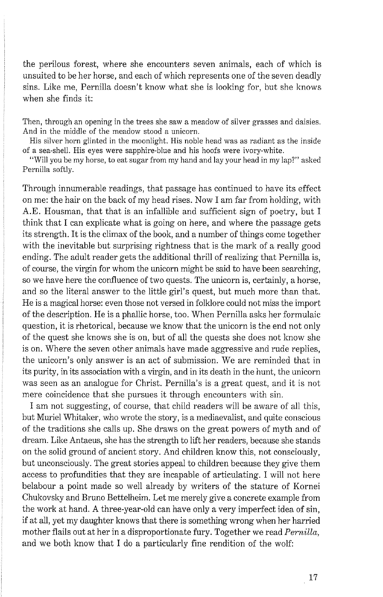the perilous forest, where she encounters seven animals, each of which is unsuited to be her horse, and each of which represents one of the seven deadly sins. Like me, Pernilla doesn't know what she is looking for, but she knows when she finds it:

Then, through an opening in the trees she saw a meadow of silver grasses and daisies. And in the middle of the meadow stood a unicorn.

His silver horn glinted in the moonlight. His noble head was as radiant as the inside of a sea-shell. His eyes were sapphire-blue and his hoofs were ivory-white.

"Will you be my horse, to eat sugar from my hand and lay your head in my lap?" aslced Pernilla softly.

Through innumerable readings, that passage has continued to have its effect on me: the hair on the back of my head rises. Now I am far from holding, with A.E. Housman, that that is an infallible and sufficient sign of poetry, but I think that I can explicate what is going on here, and where the passage gets its strength. It is the climax of the book, and a number of things come together with the inevitable but surprising rightness that is the mark of a really good ending. The adult reader gets the additional thrill of realizing that Pernilla is, of course, the virgin for whom the unicorn might be said to have been searching, so we have here the confluence of two quests. The unicorn is, certainly, a horse, and so the literal answer to the little girl's quest, but much more than that. He is a magical horse: even those not versed in folklore could not miss the import of the description. He is a phallic horse, too. When Pernilla asks her formulaic question, it is rhetorical, because we know that the unicorn is the end not only of the quest she knows she is on, but of all the quests she does not know she is on. Where the seven other animals have made aggressive and rude replies, the unicorn's only answer is an act of submission. We are reminded that in its purity, in its association with a virgin, and in its death in the hunt, the unicorn was seen as an analogue for Christ. Pernilla's is a great quest, and it is not mere coincidence that she pursues it through encounters with sin.

I am not suggesting, of course, that child readers will be aware of all this, but Muriel Whitaker, who wrote the story, is a mediaevalist, and quite conscious of the traditions she calls up. She draws on the great powers of myth and of dream. Like Antaeus, she has the strength to lift her readers, because she stands on the solid ground of ancient story. And children know this, not consciously, but unconsciously. The great stories appeal to children because they give them access to profundities that they are incapable of articulating. I will not here belabour a point made so well already by writers of the stature of Kornei Chukovsky and Bruno Bettelheim. Let me merely give a concrete example from the work at hand. A three-year-old can have only a very imperfect idea of sin, if at all, yet my daughter knows that there is something wrong when her harried mother flails out at her in a disproportionate fury. Together we read *Pernilla*, and we both know that I do a particularly fine rendition of the wolf: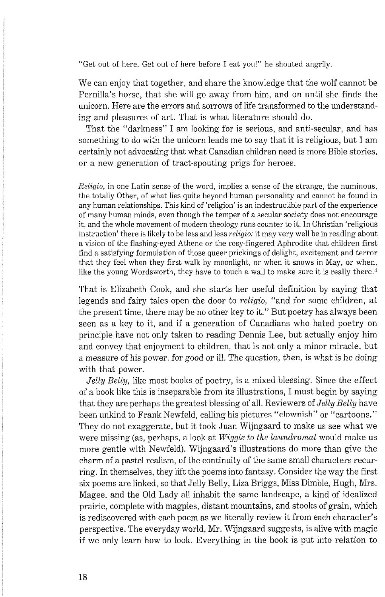"Get out of here. Get out of here before I eat you!" he shouted angrily.

We can enjoy that together, and share the knowledge that the wolf cannot be Pernilla's horse, that she will go away from him, and on until she finds the unicorn. Here are the errors and sorrows of life transformed to the understanding and pleasures of art. That is what literature should do.

That the "darkness" I am looking for is serious, and anti-secular, and has something to do with the unicorn leads me to say that it is religious, but I am certainly not advocating that what Canadian children need is more Bible stories, or a new generation of tract-spouting prigs for heroes.

Religio, in one Latin sense of the word, implies a sense of the strange, the numinous, the totally Other, of what lies quite beyond human personality and cannot be found in any human relationships. This kind of 'religion' is an indestructible part of the experience of many human minds, even though the temper of a secular society does not encourage it, and the whole movement of modern theology runs counter to it. In Christian 'religious instruction' there is likely to be less and less *religio*: it may very well be in reading about a vision of the flashing-eyed Athene or the rosy-fingered Aphrodite that children first find a satisfying formulation of those queer prickings of delight, excitement and terror that they feel when they first walk by moonlight, or when it snows in May, or when, like the young Wordsworth, they have to touch a wall to make sure it is really there.<sup>4</sup>

That is Elizabeth Cook, and she starts her useful definition by saying that legends and fairy tales open the door to *religio,* "and for some children, at the present time, there may be no other key to it." But poetry has always been seen as a key to it, and if a generation of Canadians who hated poetry on principle have not only taken to reading Dennis Lee, but actually enjoy him and convey that enjoyment to children, that is not only a minor miracle, but a measure of his power, for good or ill. The question, then, is what is he doing with that power.

*Jelly Belly,* like most books of poetry, is a mixed blessing. Since the effect of a book like this is inseparable from its illustrations, I must begin by saying that they are perhaps the greatest blessing of all. Reviewers of *Jelly Belly* have been unkind to Frank Newfeld, calling his pictures "clownish" or "cartoons." They do not exaggerate, but it took Juan Wijngaard to make us see what we were missing (as, perhaps, a look at *Wiggle to the laundromat* would make us more gentle with Newfeld). Wijngaard's illustrations do more than give the charm of a pastel realism, of the continuity of the same small characters recurring. In themselves, they lift the poems into fantasy. Consider the way the first six poems are linked, so that Jelly Belly, Liza Briggs, Miss Dimble, Hugh, Mrs. Magee, and the Old Lady all inhabit the same landscape, a kind of idealized prairie, complete with magpies, distant mountains, and stooks of grain, which is rediscovered with each poem as we literally review it from each character's perspective. The everyday world, Mr. Wijngaard suggests, is alive with magic if we only learn how to look. Everything in the book is put into relation to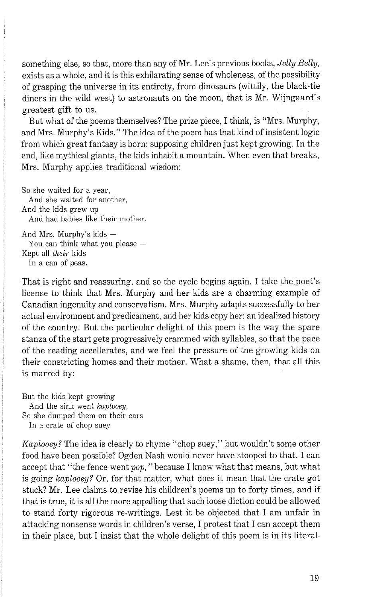something else, so that, more than any of Mr. Lee's previous books, *Jelly Belly,*  exists as a whole, and it is this exhilarating sense of wholeness, of the possibility of grasping the universe in its entirety. from dinosaurs (wittily, the black-tie diners in the wild west) to astronauts on the moon, that is Mr. Wijngaard's greatest gift to us.

But what of the poems themselves? The prize piece, I think, is "Mrs. Murphy, and Mrs. Murphy's Kids." The idea of the poem has that kind of insistent logic from which great fantasy is born: supposing children just kept growing. In the end, like mythical giants, the kids inhabit a mountain. When even that breaks, Mrs. Murphy applies traditional wisdom:

So she waited for a year, And she waited for another, And the kids grew up And had babies like their mother. And Mrs. Murphy's kids  $-$ 

You can think what you please  $-$ Kept all their kids In a can of peas.

That is right and reassuring, and so the cycle begins again. I take the poet's license to think that Mrs. Murphy and her kids are a charming example of Canadian ingenuity and conservatism. Mrs. Murphy adapts successfully to her actual environment and predicament, and her kids copy her: an idealized history of the country. But the particular delight of this poem is the way the spare stanza of the start gets progressively crammed with syllables, so that the pace of the reading accellerates, and we feel the pressure of the growing kids on their constricting homes and their mother. What a shame, then, that all this is marred by:

But the kids kept growing And the sink went *kaplooey,*  So she dumped them on their ears In a crate of chop suey

*Kaplooey?* The idea is clearly to rhyme "chop suey," but wouldn't some other food have been possible? Ogden Nash would never have stooped to that. I can accept that "the fence went *pop,* "because I know what that means, but what is going *kaplooey?* Or, for that matter, what does it mean that the crate got stuck? Mr. Lee claims to revise his children's poems up to forty times, and if that is true, it is all the more appalling that such loose diction could be allowed to stand forty rigorous re-writings. Lest it be objected that I am unfair in attacking nonsense words in children's verse, I protest that I can accept them in their place, but I insist that the whole delight of this poem is in its literal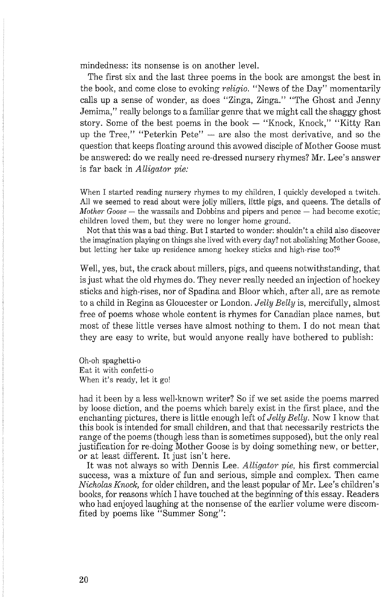mindedness: its nonsense is on another level.

The first six and the last three poems in the book are amongst the best in the book, and come close to evoking *religic.* "News of the Day" momentarily calls up a sense of wonder, as does "Zinga, Zinga." "The Ghost and Jenny Jemima," really belongs to a familiar genre that we might call the shaggy ghost story. Some of the best poems in the book - "Knock, Knock," "Kitty Ran up the Tree," "Peterkin Pete"  $-$  are also the most derivative, and so the question that keeps floating around this avowed disciple of Mother Goose must be answered: do we really need re-dressed nursery rhymes? Mr. Lee's answer is far back in *Alligator pie:* 

When I started reading nursery rhymes to my children, I quickly developed a twitch. All we seemed to read about were jolly millers, little pigs, and queens. The details of *Mother Goose* — the wassails and Dobbins and pipers and pence — had become exotic; children loved them, but they were no longer home ground.

Not that this was a bad thing. But I started to wonder: shouldn't a child also discover the imagination playing on things she lived with every day? not abolishing Mother Goose, but letting her take up residence among hockey sticks and high-rise too?<sup>5</sup>

Well, yes, but, the crack about millers, pigs, and queens notwithstanding, that is just what the old rhymes do. They never really needed an injection of hockey sticks and high-rises, nor of Spadina and Bloor which, after all, are as remote to a child in Regina as Gloucester or London. *Jelly Belly* is, mercifully, almost free of poems whose whole content is rhymes for Canadian place names, but most of these little verses have almost nothing to them. I do not mean that they are easy to write, but would anyone really have bothered to publish:

Oh-oh spaghetti-o Eat it with confetti-o When it's ready, let it go!

had it been by a less well-known writer? So if we set aside the poems marred by loose diction, and the poems which barely exist in the first place, and the enchanting pictures, there is little enough left of *Jelly Belly*. Now I know that this book is intended for small children, and that that necessarily restricts the range of the poems (though less than is sometimes supposed), but the only real justification for re-doing Mother Goose is by doing something new, or better, or at least different. It just isn't here.

It was not always so with Dennis Lee. *Alligator pie,* his first commercial success, was a mixture of fun and serious, simple and complex. Then came *Nicholas Knock,* for older children, and the least popular of Mr. Lee's children's books, for reasons which I have touched at the beginning of this essay. Readers who had enjoyed laughing at the nonsense of the earlier volume were discomfited by poems like "Summer Song":